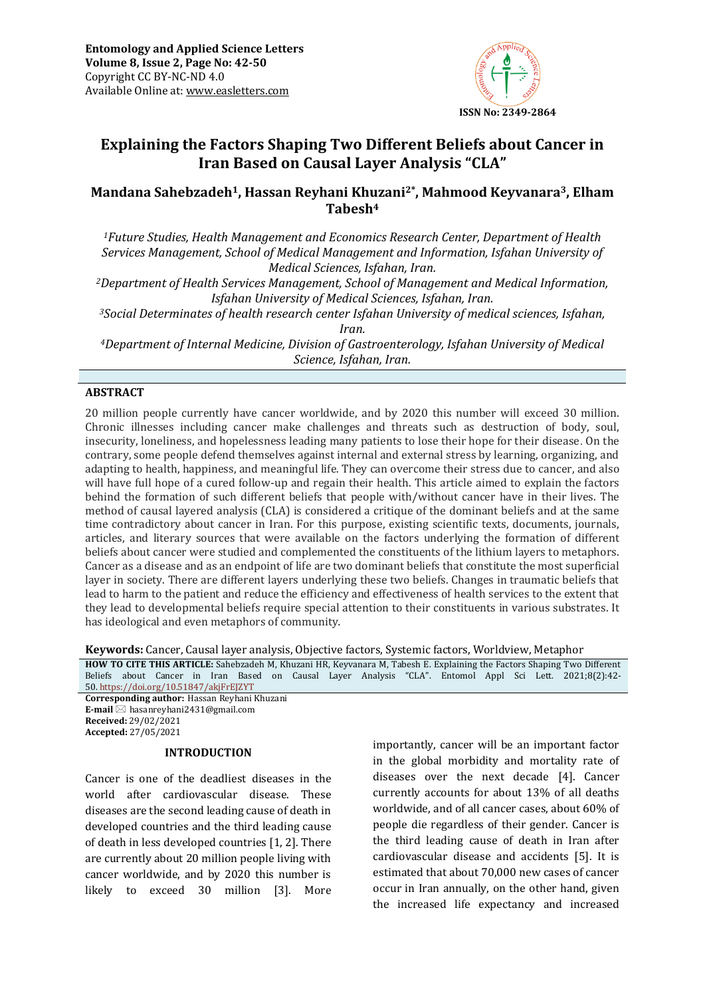

# **Explaining the Factors Shaping Two Different Beliefs about Cancer in Iran Based on Causal Layer Analysis "CLA"**

# **Mandana Sahebzadeh1, Hassan Reyhani Khuzani2\* , Mahmood Keyvanara3, Elham Tabesh<sup>4</sup>**

*<sup>1</sup>Future Studies, Health Management and Economics Research Center, Department of Health Services Management, School of Medical Management and Information, Isfahan University of Medical Sciences, Isfahan, Iran.*

*<sup>2</sup>Department of Health Services Management, School of Management and Medical Information, Isfahan University of Medical Sciences, Isfahan, Iran.*

*<sup>3</sup>Social Determinates of health research center Isfahan University of medical sciences, Isfahan, Iran.*

*<sup>4</sup>Department of Internal Medicine, Division of Gastroenterology, Isfahan University of Medical Science, Isfahan, Iran.*

# **ABSTRACT**

20 million people currently have cancer worldwide, and by 2020 this number will exceed 30 million. Chronic illnesses including cancer make challenges and threats such as destruction of body, soul, insecurity, loneliness, and hopelessness leading many patients to lose their hope for their disease. On the contrary, some people defend themselves against internal and external stress by learning, organizing, and adapting to health, happiness, and meaningful life. They can overcome their stress due to cancer, and also will have full hope of a cured follow-up and regain their health. This article aimed to explain the factors behind the formation of such different beliefs that people with/without cancer have in their lives. The method of causal layered analysis (CLA) is considered a critique of the dominant beliefs and at the same time contradictory about cancer in Iran. For this purpose, existing scientific texts, documents, journals, articles, and literary sources that were available on the factors underlying the formation of different beliefs about cancer were studied and complemented the constituents of the lithium layers to metaphors. Cancer as a disease and as an endpoint of life are two dominant beliefs that constitute the most superficial layer in society. There are different layers underlying these two beliefs. Changes in traumatic beliefs that lead to harm to the patient and reduce the efficiency and effectiveness of health services to the extent that they lead to developmental beliefs require special attention to their constituents in various substrates. It has ideological and even metaphors of community*.*

**Keywords:** Cancer, Causal layer analysis, Objective factors, Systemic factors, Worldview, Metaphor

**HOW TO CITE THIS ARTICLE:** Sahebzadeh M, Khuzani HR, Keyvanara M, Tabesh E. Explaining the Factors Shaping Two Different Beliefs about Cancer in Iran Based on Causal Layer Analysis "CLA". Entomol Appl Sci Lett. 2021;8(2):42- 50. <https://doi.org/10.51847/akjFrEJZYT>

**Corresponding author:** Hassan Reyhani Khuzani **E-mail** ⊠ hasanreyhani2431@gmail.com **Received:** 29/02/2021 **Accepted:** 27/05/2021

## **INTRODUCTION**

Cancer is one of the deadliest diseases in the world after cardiovascular disease. These diseases are the second leading cause of death in developed countries and the third leading cause of death in less developed countries [1, 2]. There are currently about 20 million people living with cancer worldwide, and by 2020 this number is likely to exceed 30 million [3]. More importantly, cancer will be an important factor in the global morbidity and mortality rate of diseases over the next decade [4]. Cancer currently accounts for about 13% of all deaths worldwide, and of all cancer cases, about 60% of people die regardless of their gender. Cancer is the third leading cause of death in Iran after cardiovascular disease and accidents [5]. It is estimated that about 70,000 new cases of cancer occur in Iran annually, on the other hand, given the increased life expectancy and increased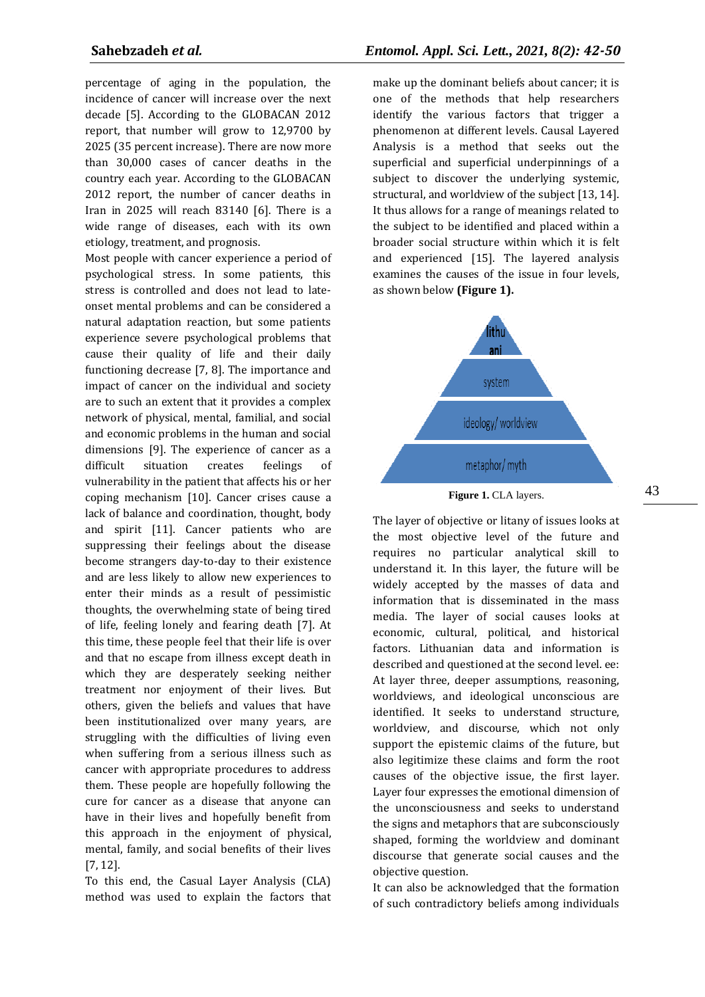percentage of aging in the population, the incidence of cancer will increase over the next decade [5]. According to the GLOBACAN 2012 report, that number will grow to 12,9700 by 2025 (35 percent increase). There are now more than 30,000 cases of cancer deaths in the country each year. According to the GLOBACAN 2012 report, the number of cancer deaths in Iran in 2025 will reach 83140 [6]. There is a wide range of diseases, each with its own etiology, treatment, and prognosis.

Most people with cancer experience a period of psychological stress. In some patients, this stress is controlled and does not lead to lateonset mental problems and can be considered a natural adaptation reaction, but some patients experience severe psychological problems that cause their quality of life and their daily functioning decrease [7, 8]. The importance and impact of cancer on the individual and society are to such an extent that it provides a complex network of physical, mental, familial, and social and economic problems in the human and social dimensions [9]. The experience of cancer as a difficult situation creates feelings of vulnerability in the patient that affects his or her coping mechanism [10]. Cancer crises cause a lack of balance and coordination, thought, body and spirit [11]. Cancer patients who are suppressing their feelings about the disease become strangers day-to-day to their existence and are less likely to allow new experiences to enter their minds as a result of pessimistic thoughts, the overwhelming state of being tired of life, feeling lonely and fearing death [7]. At this time, these people feel that their life is over and that no escape from illness except death in which they are desperately seeking neither treatment nor enjoyment of their lives. But others, given the beliefs and values that have been institutionalized over many years, are struggling with the difficulties of living even when suffering from a serious illness such as cancer with appropriate procedures to address them. These people are hopefully following the cure for cancer as a disease that anyone can have in their lives and hopefully benefit from this approach in the enjoyment of physical, mental, family, and social benefits of their lives [7, 12].

To this end, the Casual Layer Analysis (CLA) method was used to explain the factors that

make up the dominant beliefs about cancer; it is one of the methods that help researchers identify the various factors that trigger a phenomenon at different levels. Causal Layered Analysis is a method that seeks out the superficial and superficial underpinnings of a subject to discover the underlying systemic. structural, and worldview of the subject [13, 14]. It thus allows for a range of meanings related to the subject to be identified and placed within a broader social structure within which it is felt and experienced [15]. The layered analysis examines the causes of the issue in four levels, as shown below **(Figure 1).**



The layer of objective or litany of issues looks at the most objective level of the future and requires no particular analytical skill to understand it. In this layer, the future will be widely accepted by the masses of data and information that is disseminated in the mass media. The layer of social causes looks at economic, cultural, political, and historical factors. Lithuanian data and information is described and questioned at the second level. ee: At layer three, deeper assumptions, reasoning, worldviews, and ideological unconscious are identified. It seeks to understand structure, worldview, and discourse, which not only support the epistemic claims of the future, but also legitimize these claims and form the root causes of the objective issue, the first layer. Layer four expresses the emotional dimension of the unconsciousness and seeks to understand the signs and metaphors that are subconsciously shaped, forming the worldview and dominant discourse that generate social causes and the objective question.

It can also be acknowledged that the formation of such contradictory beliefs among individuals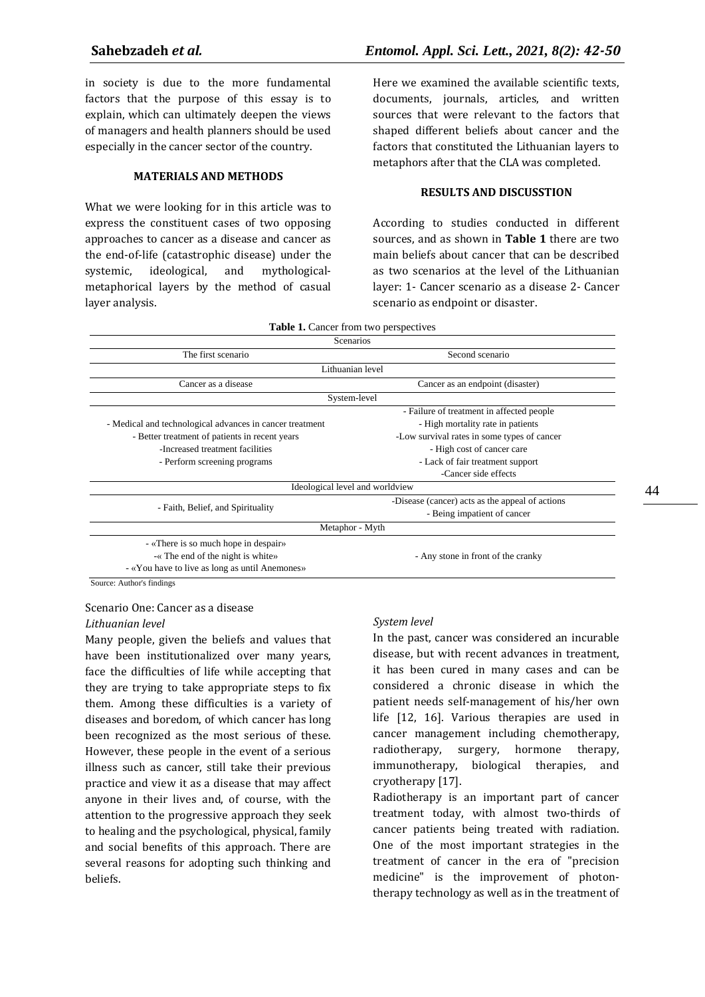in society is due to the more fundamental factors that the purpose of this essay is to explain, which can ultimately deepen the views of managers and health planners should be used especially in the cancer sector of the country.

#### **MATERIALS AND METHODS**

What we were looking for in this article was to express the constituent cases of two opposing approaches to cancer as a disease and cancer as the end-of-life (catastrophic disease) under the systemic, ideological, and mythologicalmetaphorical layers by the method of casual layer analysis.

Here we examined the available scientific texts, documents, journals, articles, and written sources that were relevant to the factors that shaped different beliefs about cancer and the factors that constituted the Lithuanian layers to metaphors after that the CLA was completed.

#### **RESULTS AND DISCUSSTION**

According to studies conducted in different sources, and as shown in **Table 1** there are two main beliefs about cancer that can be described as two scenarios at the level of the Lithuanian layer: 1- Cancer scenario as a disease 2- Cancer scenario as endpoint or disaster.

| <b>Table 1.</b> Cancer from two perspectives             |                                                 |
|----------------------------------------------------------|-------------------------------------------------|
| <b>Scenarios</b>                                         |                                                 |
| The first scenario                                       | Second scenario                                 |
| Lithuanian level                                         |                                                 |
| Cancer as a disease                                      | Cancer as an endpoint (disaster)                |
| System-level                                             |                                                 |
|                                                          | - Failure of treatment in affected people       |
| - Medical and technological advances in cancer treatment | - High mortality rate in patients               |
| - Better treatment of patients in recent years           | -Low survival rates in some types of cancer     |
| -Increased treatment facilities                          | - High cost of cancer care                      |
| - Perform screening programs                             | - Lack of fair treatment support                |
|                                                          | -Cancer side effects                            |
| Ideological level and worldview                          |                                                 |
| - Faith, Belief, and Spirituality                        | -Disease (cancer) acts as the appeal of actions |
|                                                          | - Being impatient of cancer                     |
| Metaphor - Myth                                          |                                                 |
| - «There is so much hope in despair»                     |                                                 |
| -« The end of the night is white»                        | - Any stone in front of the cranky              |
| - «You have to live as long as until Anemones»           |                                                 |

 $T$ **Table 1. C**  $\alpha$  perspectives  $\alpha$ 

Source: Author's findings

# Scenario One: Cancer as a disease

## *Lithuanian level*

Many people, given the beliefs and values that have been institutionalized over many years, face the difficulties of life while accepting that they are trying to take appropriate steps to fix them. Among these difficulties is a variety of diseases and boredom, of which cancer has long been recognized as the most serious of these. However, these people in the event of a serious illness such as cancer, still take their previous practice and view it as a disease that may affect anyone in their lives and, of course, with the attention to the progressive approach they seek to healing and the psychological, physical, family and social benefits of this approach. There are several reasons for adopting such thinking and beliefs.

#### *System level*

In the past, cancer was considered an incurable disease, but with recent advances in treatment, it has been cured in many cases and can be considered a chronic disease in which the patient needs self-management of his/her own life [12, 16]. Various therapies are used in cancer management including chemotherapy, radiotherapy, surgery, hormone therapy, immunotherapy, biological therapies, and cryotherapy [17].

Radiotherapy is an important part of cancer treatment today, with almost two-thirds of cancer patients being treated with radiation. One of the most important strategies in the treatment of cancer in the era of "precision medicine" is the improvement of photontherapy technology as well as in the treatment of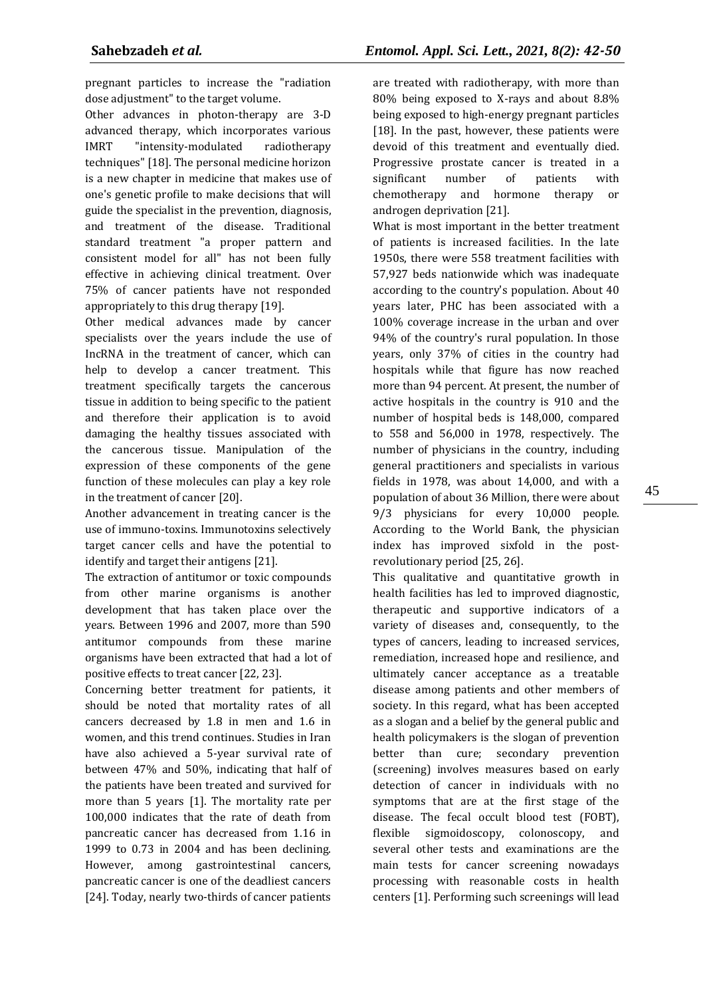pregnant particles to increase the "radiation dose adjustment" to the target volume.

Other advances in photon-therapy are 3-D advanced therapy, which incorporates various IMRT "intensity-modulated radiotherapy techniques" [18]. The personal medicine horizon is a new chapter in medicine that makes use of one's genetic profile to make decisions that will guide the specialist in the prevention, diagnosis, and treatment of the disease. Traditional standard treatment "a proper pattern and consistent model for all" has not been fully effective in achieving clinical treatment. Over 75% of cancer patients have not responded appropriately to this drug therapy [19].

Other medical advances made by cancer specialists over the years include the use of IncRNA in the treatment of cancer, which can help to develop a cancer treatment. This treatment specifically targets the cancerous tissue in addition to being specific to the patient and therefore their application is to avoid damaging the healthy tissues associated with the cancerous tissue. Manipulation of the expression of these components of the gene function of these molecules can play a key role in the treatment of cancer [20].

Another advancement in treating cancer is the use of immuno-toxins. Immunotoxins selectively target cancer cells and have the potential to identify and target their antigens [21].

The extraction of antitumor or toxic compounds from other marine organisms is another development that has taken place over the years. Between 1996 and 2007, more than 590 antitumor compounds from these marine organisms have been extracted that had a lot of positive effects to treat cancer [22, 23].

Concerning better treatment for patients, it should be noted that mortality rates of all cancers decreased by 1.8 in men and 1.6 in women, and this trend continues. Studies in Iran have also achieved a 5-year survival rate of between 47% and 50%, indicating that half of the patients have been treated and survived for more than 5 years [1]. The mortality rate per 100,000 indicates that the rate of death from pancreatic cancer has decreased from 1.16 in 1999 to 0.73 in 2004 and has been declining. However, among gastrointestinal cancers, pancreatic cancer is one of the deadliest cancers [24]. Today, nearly two-thirds of cancer patients

are treated with radiotherapy, with more than 80% being exposed to X-rays and about 8.8% being exposed to high-energy pregnant particles [18]. In the past, however, these patients were devoid of this treatment and eventually died. Progressive prostate cancer is treated in a significant number of patients with chemotherapy and hormone therapy or androgen deprivation [21].

What is most important in the better treatment of patients is increased facilities. In the late 1950s, there were 558 treatment facilities with 57,927 beds nationwide which was inadequate according to the country's population. About 40 years later, PHC has been associated with a 100% coverage increase in the urban and over 94% of the country's rural population. In those years, only 37% of cities in the country had hospitals while that figure has now reached more than 94 percent. At present, the number of active hospitals in the country is 910 and the number of hospital beds is 148,000, compared to 558 and 56,000 in 1978, respectively. The number of physicians in the country, including general practitioners and specialists in various fields in 1978, was about 14,000, and with a population of about 36 Million, there were about 9/3 physicians for every 10,000 people. According to the World Bank, the physician index has improved sixfold in the postrevolutionary period [25, 26].

This qualitative and quantitative growth in health facilities has led to improved diagnostic, therapeutic and supportive indicators of a variety of diseases and, consequently, to the types of cancers, leading to increased services, remediation, increased hope and resilience, and ultimately cancer acceptance as a treatable disease among patients and other members of society. In this regard, what has been accepted as a slogan and a belief by the general public and health policymakers is the slogan of prevention better than cure; secondary prevention (screening) involves measures based on early detection of cancer in individuals with no symptoms that are at the first stage of the disease. The fecal occult blood test (FOBT), flexible sigmoidoscopy, colonoscopy, and several other tests and examinations are the main tests for cancer screening nowadays processing with reasonable costs in health centers [1]. Performing such screenings will lead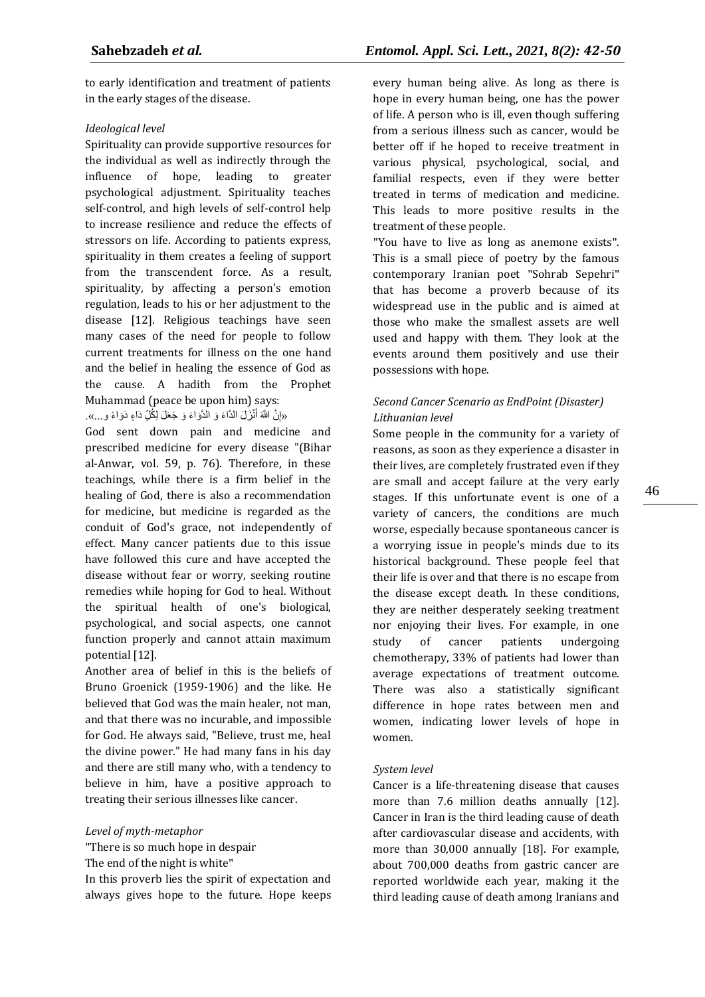to early identification and treatment of patients in the early stages of the disease.

# *Ideological level*

Spirituality can provide supportive resources for the individual as well as indirectly through the influence of hope, leading to greater psychological adjustment. Spirituality teaches self-control, and high levels of self-control help to increase resilience and reduce the effects of stressors on life. According to patients express, spirituality in them creates a feeling of support from the transcendent force. As a result, spirituality, by affecting a person's emotion regulation, leads to his or her adjustment to the disease [12]. Religious teachings have seen many cases of the need for people to follow current treatments for illness on the one hand and the belief in healing the essence of God as the cause. A hadith from the Prophet Muhammad (peace be upon him) says: «إِنَّ اللَّهَ أَنْزَلَ الدَّاءَ وَ الدَّوَاءَ وَ جَعَلَ لِكُلِّ دَاءٍ دَوَاءً و…». َ

ِ God sent down pain and medicine and prescribed medicine for every disease "(Bihar al-Anwar, vol. 59, p. 76). Therefore, in these teachings, while there is a firm belief in the healing of God, there is also a recommendation for medicine, but medicine is regarded as the conduit of God's grace, not independently of effect. Many cancer patients due to this issue have followed this cure and have accepted the disease without fear or worry, seeking routine remedies while hoping for God to heal. Without the spiritual health of one's biological, psychological, and social aspects, one cannot function properly and cannot attain maximum potential [12].

Another area of belief in this is the beliefs of Bruno Groenick (1959-1906) and the like. He believed that God was the main healer, not man, and that there was no incurable, and impossible for God. He always said, "Believe, trust me, heal the divine power." He had many fans in his day and there are still many who, with a tendency to believe in him, have a positive approach to treating their serious illnesses like cancer.

*Level of myth-metaphor*

"There is so much hope in despair

The end of the night is white"

In this proverb lies the spirit of expectation and always gives hope to the future. Hope keeps

every human being alive. As long as there is hope in every human being, one has the power of life. A person who is ill, even though suffering from a serious illness such as cancer, would be better off if he hoped to receive treatment in various physical, psychological, social, and familial respects, even if they were better treated in terms of medication and medicine. This leads to more positive results in the treatment of these people.

"You have to live as long as anemone exists". This is a small piece of poetry by the famous contemporary Iranian poet "Sohrab Sepehri" that has become a proverb because of its widespread use in the public and is aimed at those who make the smallest assets are well used and happy with them. They look at the events around them positively and use their possessions with hope.

# *Second Cancer Scenario as EndPoint (Disaster) Lithuanian level*

Some people in the community for a variety of reasons, as soon as they experience a disaster in their lives, are completely frustrated even if they are small and accept failure at the very early stages. If this unfortunate event is one of a variety of cancers, the conditions are much worse, especially because spontaneous cancer is a worrying issue in people's minds due to its historical background. These people feel that their life is over and that there is no escape from the disease except death. In these conditions, they are neither desperately seeking treatment nor enjoying their lives. For example, in one study of cancer patients undergoing chemotherapy, 33% of patients had lower than average expectations of treatment outcome. There was also a statistically significant difference in hope rates between men and women, indicating lower levels of hope in women.

# *System level*

Cancer is a life-threatening disease that causes more than 7.6 million deaths annually [12]. Cancer in Iran is the third leading cause of death after cardiovascular disease and accidents, with more than 30,000 annually [18]. For example, about 700,000 deaths from gastric cancer are reported worldwide each year, making it the third leading cause of death among Iranians and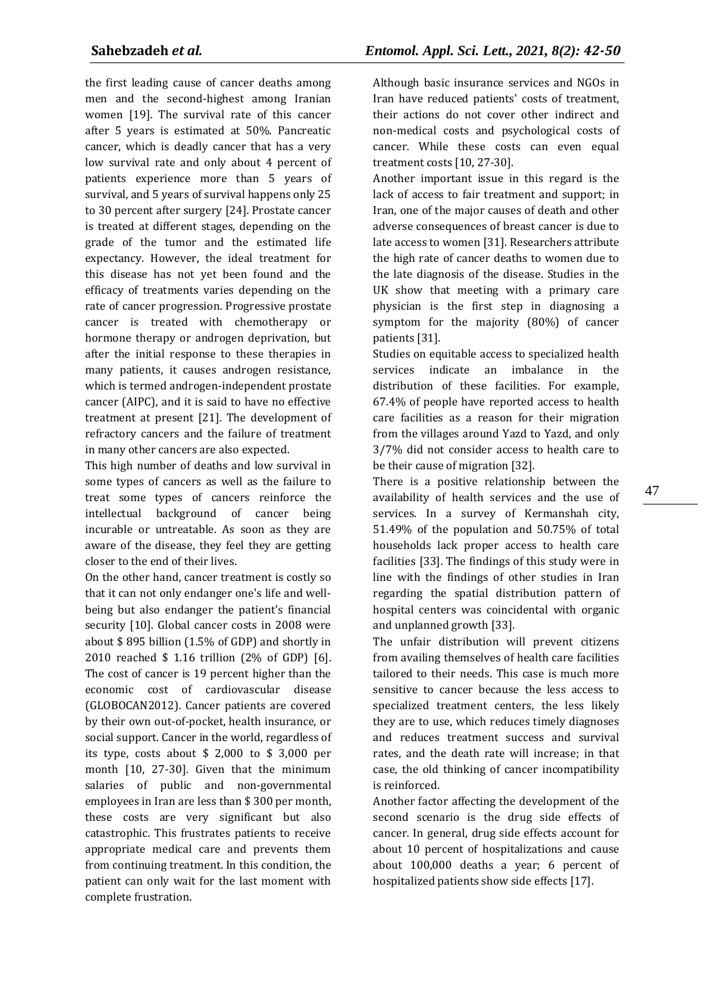the first leading cause of cancer deaths among men and the second-highest among Iranian women [19]. The survival rate of this cancer after 5 years is estimated at 50%. Pancreatic cancer, which is deadly cancer that has a very low survival rate and only about 4 percent of patients experience more than 5 years of survival, and 5 years of survival happens only 25 to 30 percent after surgery [24]. Prostate cancer is treated at different stages, depending on the grade of the tumor and the estimated life expectancy. However, the ideal treatment for this disease has not yet been found and the efficacy of treatments varies depending on the rate of cancer progression. Progressive prostate cancer is treated with chemotherapy or hormone therapy or androgen deprivation, but after the initial response to these therapies in many patients, it causes androgen resistance, which is termed androgen-independent prostate cancer (AIPC), and it is said to have no effective treatment at present [21]. The development of refractory cancers and the failure of treatment in many other cancers are also expected.

This high number of deaths and low survival in some types of cancers as well as the failure to treat some types of cancers reinforce the intellectual background of cancer being incurable or untreatable. As soon as they are aware of the disease, they feel they are getting closer to the end of their lives.

On the other hand, cancer treatment is costly so that it can not only endanger one's life and wellbeing but also endanger the patient's financial security [10]. Global cancer costs in 2008 were about \$ 895 billion (1.5% of GDP) and shortly in 2010 reached \$ 1.16 trillion (2% of GDP) [6]. The cost of cancer is 19 percent higher than the economic cost of cardiovascular disease (GLOBOCAN2012). Cancer patients are covered by their own out-of-pocket, health insurance, or social support. Cancer in the world, regardless of its type, costs about \$ 2,000 to \$ 3,000 per month [10, 27-30]. Given that the minimum salaries of public and non-governmental employees in Iran are less than \$ 300 per month, these costs are very significant but also catastrophic. This frustrates patients to receive appropriate medical care and prevents them from continuing treatment. In this condition, the patient can only wait for the last moment with complete frustration.

Although basic insurance services and NGOs in Iran have reduced patients' costs of treatment, their actions do not cover other indirect and non-medical costs and psychological costs of cancer. While these costs can even equal treatment costs [10, 27-30].

Another important issue in this regard is the lack of access to fair treatment and support; in Iran, one of the major causes of death and other adverse consequences of breast cancer is due to late access to women [31]. Researchers attribute the high rate of cancer deaths to women due to the late diagnosis of the disease. Studies in the UK show that meeting with a primary care physician is the first step in diagnosing a symptom for the majority (80%) of cancer patients [31].

Studies on equitable access to specialized health services indicate an imbalance in the distribution of these facilities. For example, 67.4% of people have reported access to health care facilities as a reason for their migration from the villages around Yazd to Yazd, and only 3/7% did not consider access to health care to be their cause of migration [32].

There is a positive relationship between the availability of health services and the use of services. In a survey of Kermanshah city, 51.49% of the population and 50.75% of total households lack proper access to health care facilities [33]. The findings of this study were in line with the findings of other studies in Iran regarding the spatial distribution pattern of hospital centers was coincidental with organic and unplanned growth [33].

The unfair distribution will prevent citizens from availing themselves of health care facilities tailored to their needs. This case is much more sensitive to cancer because the less access to specialized treatment centers, the less likely they are to use, which reduces timely diagnoses and reduces treatment success and survival rates, and the death rate will increase; in that case, the old thinking of cancer incompatibility is reinforced.

Another factor affecting the development of the second scenario is the drug side effects of cancer. In general, drug side effects account for about 10 percent of hospitalizations and cause about 100,000 deaths a year; 6 percent of hospitalized patients show side effects [17].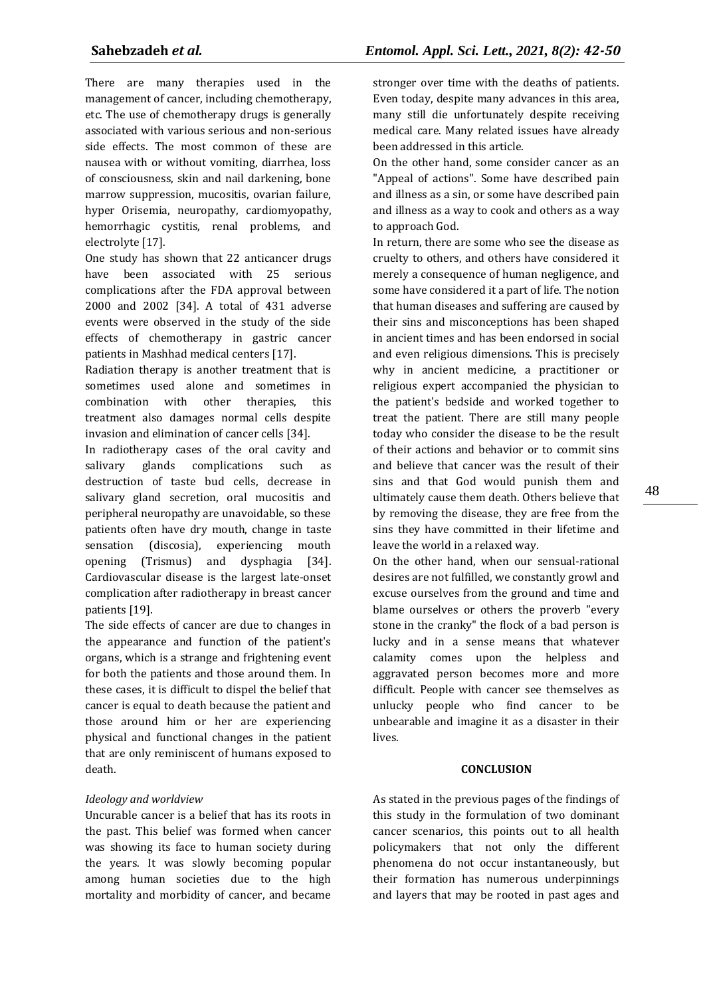There are many therapies used in the management of cancer, including chemotherapy, etc. The use of chemotherapy drugs is generally associated with various serious and non-serious side effects. The most common of these are nausea with or without vomiting, diarrhea, loss of consciousness, skin and nail darkening, bone marrow suppression, mucositis, ovarian failure, hyper Orisemia, neuropathy, cardiomyopathy, hemorrhagic cystitis, renal problems, and electrolyte [17].

One study has shown that 22 anticancer drugs have been associated with 25 serious complications after the FDA approval between 2000 and 2002 [34]. A total of 431 adverse events were observed in the study of the side effects of chemotherapy in gastric cancer patients in Mashhad medical centers [17].

Radiation therapy is another treatment that is sometimes used alone and sometimes in combination with other therapies, this treatment also damages normal cells despite invasion and elimination of cancer cells [34].

In radiotherapy cases of the oral cavity and salivary glands complications such as destruction of taste bud cells, decrease in salivary gland secretion, oral mucositis and peripheral neuropathy are unavoidable, so these patients often have dry mouth, change in taste sensation (discosia), experiencing mouth opening (Trismus) and dysphagia [34]. Cardiovascular disease is the largest late-onset complication after radiotherapy in breast cancer patients [19].

The side effects of cancer are due to changes in the appearance and function of the patient's organs, which is a strange and frightening event for both the patients and those around them. In these cases, it is difficult to dispel the belief that cancer is equal to death because the patient and those around him or her are experiencing physical and functional changes in the patient that are only reminiscent of humans exposed to death.

## *Ideology and worldview*

Uncurable cancer is a belief that has its roots in the past. This belief was formed when cancer was showing its face to human society during the years. It was slowly becoming popular among human societies due to the high mortality and morbidity of cancer, and became

stronger over time with the deaths of patients. Even today, despite many advances in this area, many still die unfortunately despite receiving medical care. Many related issues have already been addressed in this article.

On the other hand, some consider cancer as an "Appeal of actions". Some have described pain and illness as a sin, or some have described pain and illness as a way to cook and others as a way to approach God.

In return, there are some who see the disease as cruelty to others, and others have considered it merely a consequence of human negligence, and some have considered it a part of life. The notion that human diseases and suffering are caused by their sins and misconceptions has been shaped in ancient times and has been endorsed in social and even religious dimensions. This is precisely why in ancient medicine, a practitioner or religious expert accompanied the physician to the patient's bedside and worked together to treat the patient. There are still many people today who consider the disease to be the result of their actions and behavior or to commit sins and believe that cancer was the result of their sins and that God would punish them and ultimately cause them death. Others believe that by removing the disease, they are free from the sins they have committed in their lifetime and leave the world in a relaxed way.

On the other hand, when our sensual-rational desires are not fulfilled, we constantly growl and excuse ourselves from the ground and time and blame ourselves or others the proverb "every stone in the cranky" the flock of a bad person is lucky and in a sense means that whatever calamity comes upon the helpless and aggravated person becomes more and more difficult. People with cancer see themselves as unlucky people who find cancer to be unbearable and imagine it as a disaster in their lives.

### **CONCLUSION**

As stated in the previous pages of the findings of this study in the formulation of two dominant cancer scenarios, this points out to all health policymakers that not only the different phenomena do not occur instantaneously, but their formation has numerous underpinnings and layers that may be rooted in past ages and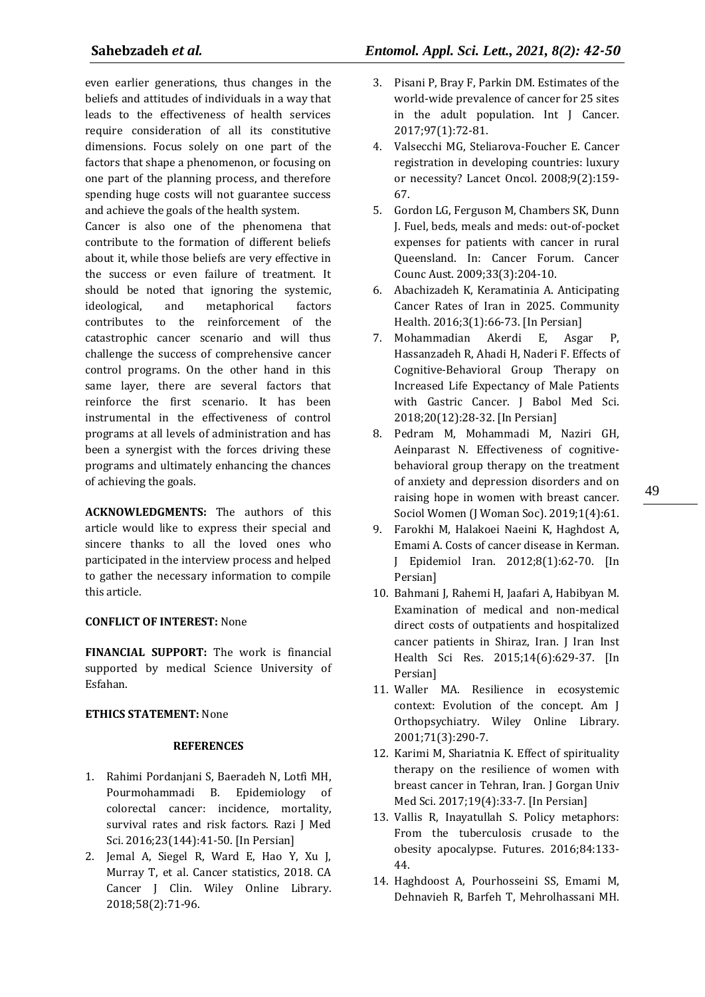even earlier generations, thus changes in the beliefs and attitudes of individuals in a way that leads to the effectiveness of health services require consideration of all its constitutive dimensions. Focus solely on one part of the factors that shape a phenomenon, or focusing on one part of the planning process, and therefore spending huge costs will not guarantee success and achieve the goals of the health system.

Cancer is also one of the phenomena that contribute to the formation of different beliefs about it, while those beliefs are very effective in the success or even failure of treatment. It should be noted that ignoring the systemic, ideological, and metaphorical factors contributes to the reinforcement of the catastrophic cancer scenario and will thus challenge the success of comprehensive cancer control programs. On the other hand in this same layer, there are several factors that reinforce the first scenario. It has been instrumental in the effectiveness of control programs at all levels of administration and has been a synergist with the forces driving these programs and ultimately enhancing the chances of achieving the goals.

**ACKNOWLEDGMENTS:** The authors of this article would like to express their special and sincere thanks to all the loved ones who participated in the interview process and helped to gather the necessary information to compile this article.

### **CONFLICT OF INTEREST:** None

**FINANCIAL SUPPORT:** The work is financial supported by medical Science University of Esfahan.

#### **ETHICS STATEMENT:** None

### **REFERENCES**

- 1. Rahimi Pordanjani S, Baeradeh N, Lotfi MH, Pourmohammadi B. Epidemiology of colorectal cancer: incidence, mortality, survival rates and risk factors. Razi J Med Sci. 2016;23(144):41-50. [In Persian]
- 2. Jemal A, Siegel R, Ward E, Hao Y, Xu J, Murray T, et al. Cancer statistics, 2018. CA Cancer J Clin. Wiley Online Library. 2018;58(2):71-96.
- 3. Pisani P, Bray F, Parkin DM. Estimates of the world‐wide prevalence of cancer for 25 sites in the adult population. Int J Cancer. 2017;97(1):72-81.
- 4. Valsecchi MG, Steliarova-Foucher E. Cancer registration in developing countries: luxury or necessity? Lancet Oncol. 2008;9(2):159- 67.
- 5. Gordon LG, Ferguson M, Chambers SK, Dunn J. Fuel, beds, meals and meds: out-of-pocket expenses for patients with cancer in rural Queensland. In: Cancer Forum. Cancer Counc Aust. 2009;33(3):204-10.
- 6. Abachizadeh K, Keramatinia A. Anticipating Cancer Rates of Iran in 2025. Community Health. 2016;3(1):66-73. [In Persian]
- 7. Mohammadian Akerdi E, Asgar P, Hassanzadeh R, Ahadi H, Naderi F. Effects of Cognitive-Behavioral Group Therapy on Increased Life Expectancy of Male Patients with Gastric Cancer. J Babol Med Sci. 2018;20(12):28-32. [In Persian]
- 8. Pedram M, Mohammadi M, Naziri GH, Aeinparast N. Effectiveness of cognitivebehavioral group therapy on the treatment of anxiety and depression disorders and on raising hope in women with breast cancer. Sociol Women (J Woman Soc). 2019;1(4):61.
- 9. Farokhi M, Halakoei Naeini K, Haghdost A, Emami A. Costs of cancer disease in Kerman. J Epidemiol Iran. 2012;8(1):62-70. [In Persian]
- 10. Bahmani J, Rahemi H, Jaafari A, Habibyan M. Examination of medical and non-medical direct costs of outpatients and hospitalized cancer patients in Shiraz, Iran. J Iran Inst Health Sci Res. 2015;14(6):629-37. [In Persian]
- 11. Waller MA. Resilience in ecosystemic context: Evolution of the concept. Am J Orthopsychiatry. Wiley Online Library. 2001;71(3):290-7.
- 12. Karimi M, Shariatnia K. Effect of spirituality therapy on the resilience of women with breast cancer in Tehran, Iran. J Gorgan Univ Med Sci. 2017;19(4):33-7. [In Persian]
- 13. Vallis R, Inayatullah S. Policy metaphors: From the tuberculosis crusade to the obesity apocalypse. Futures. 2016;84:133- 44.
- 14. Haghdoost A, Pourhosseini SS, Emami M, Dehnavieh R, Barfeh T, Mehrolhassani MH.